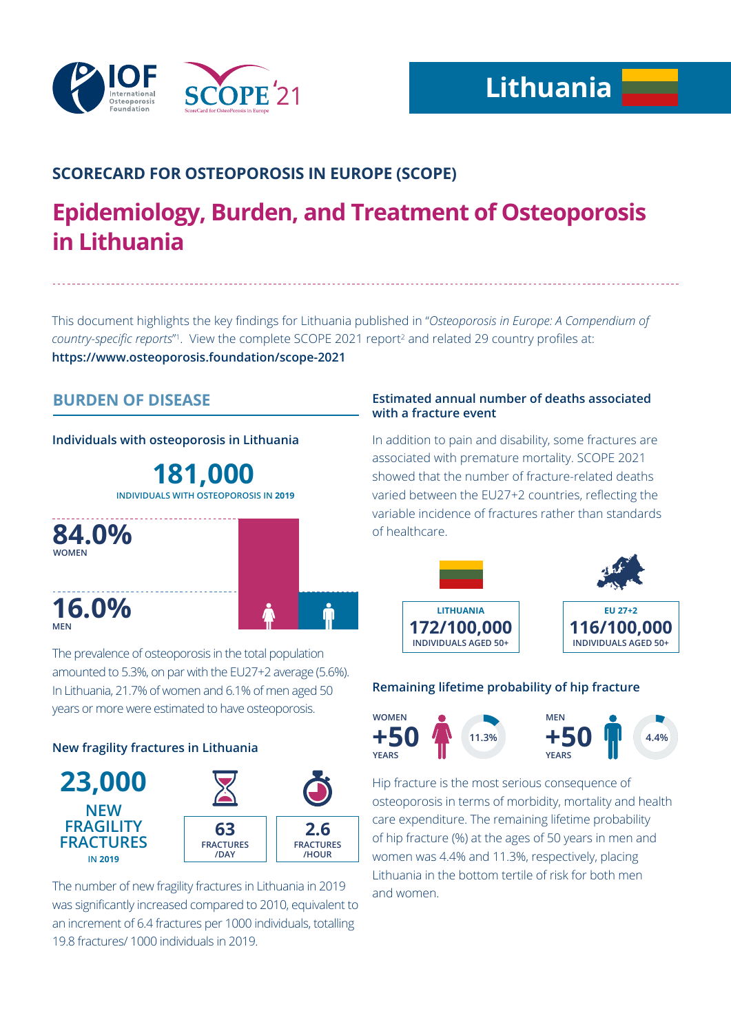

# **SCORECARD FOR OSTEOPOROSIS IN EUROPE (SCOPE)**

# **Epidemiology, Burden, and Treatment of Osteoporosis in Lithuania**

This document highlights the key findings for Lithuania published in "*Osteoporosis in Europe: A Compendium of*  country-specific reports<sup>"</sup>. View the complete SCOPE 2021 report<sup>2</sup> and related 29 country profiles at: **https://www.osteoporosis.foundation/scope-2021**

# **BURDEN OF DISEASE**

**Individuals with osteoporosis in Lithuania**

**181,000 INDIVIDUALS WITH OSTEOPOROSIS IN 2019**



The prevalence of osteoporosis in the total population amounted to 5.3%, on par with the EU27+2 average (5.6%). In Lithuania, 21.7% of women and 6.1% of men aged 50 years or more were estimated to have osteoporosis.

### **New fragility fractures in Lithuania**



The number of new fragility fractures in Lithuania in 2019 was significantly increased compared to 2010, equivalent to an increment of 6.4 fractures per 1000 individuals, totalling 19.8 fractures/ 1000 individuals in 2019.

#### **Estimated annual number of deaths associated with a fracture event**

In addition to pain and disability, some fractures are associated with premature mortality. SCOPE 2021 showed that the number of fracture-related deaths varied between the EU27+2 countries, reflecting the variable incidence of fractures rather than standards of healthcare.



### **Remaining lifetime probability of hip fracture**



Hip fracture is the most serious consequence of osteoporosis in terms of morbidity, mortality and health care expenditure. The remaining lifetime probability of hip fracture (%) at the ages of 50 years in men and women was 4.4% and 11.3%, respectively, placing Lithuania in the bottom tertile of risk for both men and women.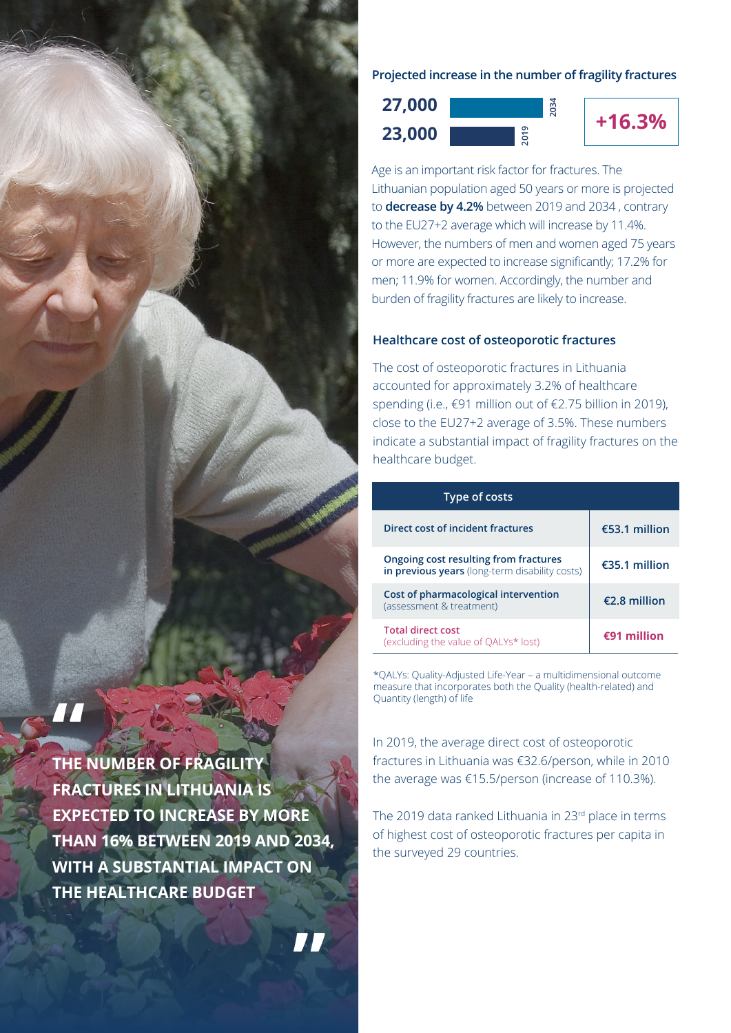

**THE NUMBER OF FRAGILITY FRACTURES IN LITHUANIA IS EXPECTED TO INCREASE BY MORE THAN 16% BETWEEN 2019 AND 2034, WITH A SUBSTANTIAL IMPACT ON THE HEALTHCARE BUDGET**

**"**

**Projected increase in the number of fragility fractures**





Age is an important risk factor for fractures. The Lithuanian population aged 50 years or more is projected to **decrease by 4.2%** between 2019 and 2034 , contrary to the EU27+2 average which will increase by 11.4%. However, the numbers of men and women aged 75 years or more are expected to increase significantly; 17.2% for men; 11.9% for women. Accordingly, the number and burden of fragility fractures are likely to increase.

#### **Healthcare cost of osteoporotic fractures**

The cost of osteoporotic fractures in Lithuania accounted for approximately 3.2% of healthcare spending (i.e., €91 million out of €2.75 billion in 2019), close to the EU27+2 average of 3.5%. These numbers indicate a substantial impact of fragility fractures on the healthcare budget.

| <b>Type of costs</b>                                                                    |                |
|-----------------------------------------------------------------------------------------|----------------|
| Direct cost of incident fractures                                                       | €53.1 million  |
| Ongoing cost resulting from fractures<br>in previous years (long-term disability costs) | €35.1 million  |
| Cost of pharmacological intervention<br>(assessment & treatment)                        | $£2.8$ million |
| <b>Total direct cost</b><br>(excluding the value of QALYs* lost)                        | $£91$ million  |

\*QALYs: Quality-Adjusted Life-Year – a multidimensional outcome measure that incorporates both the Quality (health-related) and Quantity (length) of life

In 2019, the average direct cost of osteoporotic fractures in Lithuania was €32.6/person, while in 2010 the average was €15.5/person (increase of 110.3%).

The 2019 data ranked Lithuania in 23rd place in terms of highest cost of osteoporotic fractures per capita in the surveyed 29 countries.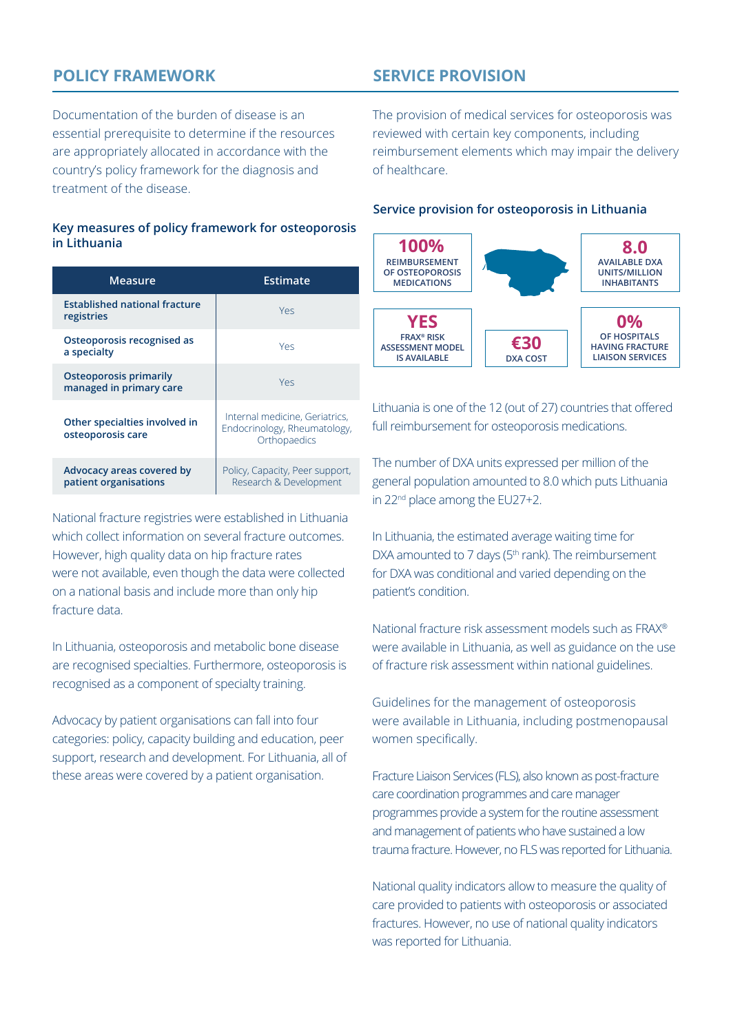# **POLICY FRAMEWORK**

**SERVICE PROVISION**

Documentation of the burden of disease is an essential prerequisite to determine if the resources are appropriately allocated in accordance with the country's policy framework for the diagnosis and treatment of the disease.

#### **Key measures of policy framework for osteoporosis in Lithuania**

| <b>Measure</b>                                           | Estimate                                                                       |
|----------------------------------------------------------|--------------------------------------------------------------------------------|
| <b>Established national fracture</b><br>registries       | Yes                                                                            |
| Osteoporosis recognised as<br>a specialty                | Yes                                                                            |
| <b>Osteoporosis primarily</b><br>managed in primary care | Yes                                                                            |
| Other specialties involved in<br>osteoporosis care       | Internal medicine, Geriatrics,<br>Endocrinology, Rheumatology,<br>Orthopaedics |
| Advocacy areas covered by<br>patient organisations       | Policy, Capacity, Peer support,<br>Research & Development                      |

National fracture registries were established in Lithuania which collect information on several fracture outcomes. However, high quality data on hip fracture rates were not available, even though the data were collected on a national basis and include more than only hip fracture data.

In Lithuania, osteoporosis and metabolic bone disease are recognised specialties. Furthermore, osteoporosis is recognised as a component of specialty training.

Advocacy by patient organisations can fall into four categories: policy, capacity building and education, peer support, research and development. For Lithuania, all of these areas were covered by a patient organisation.

The provision of medical services for osteoporosis was reviewed with certain key components, including reimbursement elements which may impair the delivery of healthcare.

#### **Service provision for osteoporosis in Lithuania**



Lithuania is one of the 12 (out of 27) countries that offered full reimbursement for osteoporosis medications.

The number of DXA units expressed per million of the general population amounted to 8.0 which puts Lithuania in 22<sup>nd</sup> place among the EU27+2.

In Lithuania, the estimated average waiting time for DXA amounted to 7 days ( $5<sup>th</sup>$  rank). The reimbursement for DXA was conditional and varied depending on the patient's condition.

National fracture risk assessment models such as FRAX® were available in Lithuania, as well as guidance on the use of fracture risk assessment within national guidelines.

Guidelines for the management of osteoporosis were available in Lithuania, including postmenopausal women specifically.

Fracture Liaison Services (FLS), also known as post-fracture care coordination programmes and care manager programmes provide a system for the routine assessment and management of patients who have sustained a low trauma fracture. However, no FLS was reported for Lithuania.

National quality indicators allow to measure the quality of care provided to patients with osteoporosis or associated fractures. However, no use of national quality indicators was reported for Lithuania.